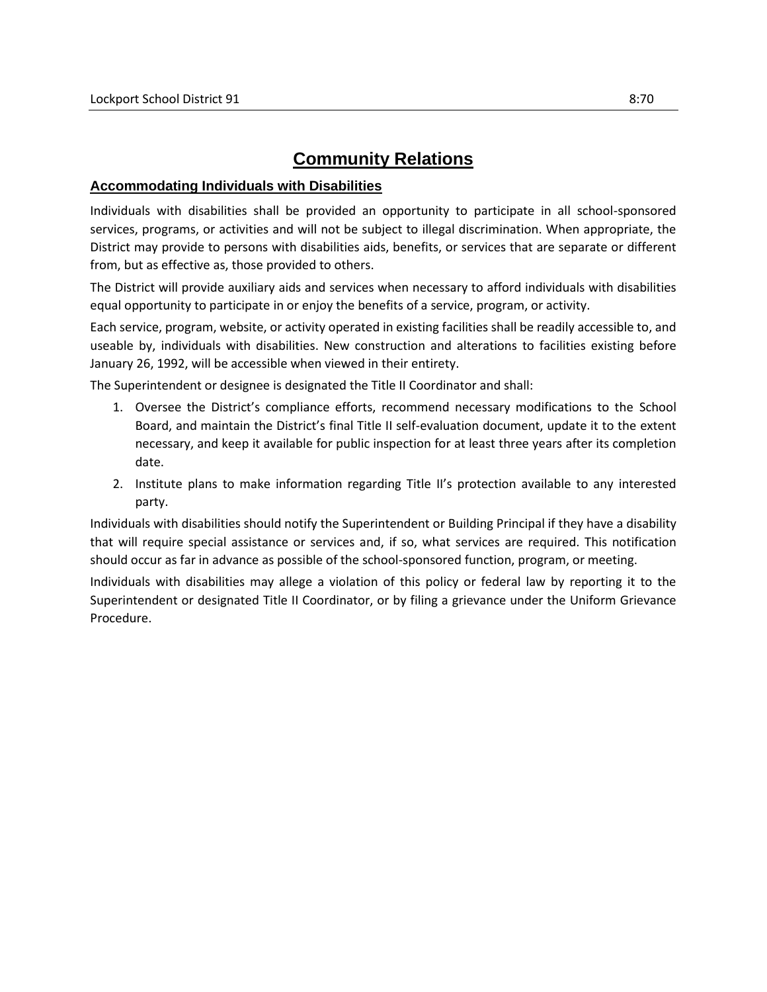## **Community Relations**

## **Accommodating Individuals with Disabilities**

Individuals with disabilities shall be provided an opportunity to participate in all school-sponsored services, programs, or activities and will not be subject to illegal discrimination. When appropriate, the District may provide to persons with disabilities aids, benefits, or services that are separate or different from, but as effective as, those provided to others.

The District will provide auxiliary aids and services when necessary to afford individuals with disabilities equal opportunity to participate in or enjoy the benefits of a service, program, or activity.

Each service, program, website, or activity operated in existing facilities shall be readily accessible to, and useable by, individuals with disabilities. New construction and alterations to facilities existing before January 26, 1992, will be accessible when viewed in their entirety.

The Superintendent or designee is designated the Title II Coordinator and shall:

- 1. Oversee the District's compliance efforts, recommend necessary modifications to the School Board, and maintain the District's final Title II self-evaluation document, update it to the extent necessary, and keep it available for public inspection for at least three years after its completion date.
- 2. Institute plans to make information regarding Title II's protection available to any interested party.

Individuals with disabilities should notify the Superintendent or Building Principal if they have a disability that will require special assistance or services and, if so, what services are required. This notification should occur as far in advance as possible of the school-sponsored function, program, or meeting.

Individuals with disabilities may allege a violation of this policy or federal law by reporting it to the Superintendent or designated Title II Coordinator, or by filing a grievance under the Uniform Grievance Procedure.